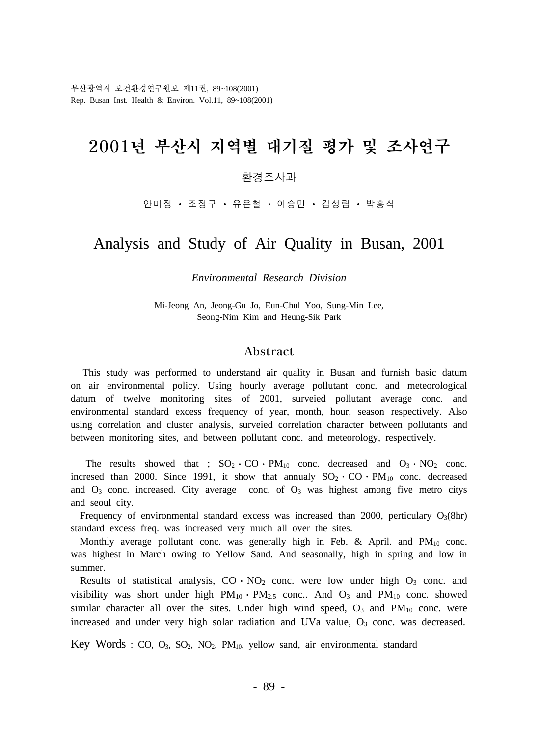부산광역시 보건환경연구원보 제11권, 89~108(2001) Rep. Busan Inst. Health & Environ. Vol.11, 89~108(2001)

# 2001년 부산시 지역별 대기질 평가 및 조사연구

### 환경조사과

안미정 ㆍ 조정구 ㆍ 유은철 ㆍ 이승민 ㆍ 김성림 ㆍ 박흥식

# Analysis and Study of Air Quality in Busan, 2001

*Environmental Research Division*

Mi-Jeong An, Jeong-Gu Jo, Eun-Chul Yoo, Sung-Min Lee, Seong-Nim Kim and Heung-Sik Park

#### Abstract

 This study was performed to understand air quality in Busan and furnish basic datum on air environmental policy. Using hourly average pollutant conc. and meteorological datum of twelve monitoring sites of 2001, surveied pollutant average conc. and environmental standard excess frequency of year, month, hour, season respectively. Also using correlation and cluster analysis, surveied correlation character between pollutants and between monitoring sites, and between pollutant conc. and meteorology, respectively.

The results showed that ;  $SO_2 \cdot CO \cdot PM_{10}$  conc. decreased and  $O_3 \cdot NO_2$  conc. incresed than 2000. Since 1991, it show that annualy  $SO_2 \cdot CO \cdot PM_{10}$  conc. decreased and  $O<sub>3</sub>$  conc. increased. City average conc. of  $O<sub>3</sub>$  was highest among five metro citys and seoul city.

Frequency of environmental standard excess was increased than 2000, perticulary  $O_3(8hr)$ standard excess freq. was increased very much all over the sites.

Monthly average pollutant conc. was generally high in Feb. & April. and  $PM_{10}$  conc. was highest in March owing to Yellow Sand. And seasonally, high in spring and low in summer.

Results of statistical analysis,  $CO \cdot NO_2$  conc. were low under high  $O_3$  conc. and visibility was short under high  $PM_{10} \cdot PM_{2.5}$  conc.. And  $O_3$  and  $PM_{10}$  conc. showed similar character all over the sites. Under high wind speed,  $O_3$  and  $PM_{10}$  conc. were increased and under very high solar radiation and UVa value,  $O<sub>3</sub>$  conc. was decreased.

Key Words :  $CO$ ,  $O_3$ ,  $SO_2$ ,  $NO_2$ ,  $PM_{10}$ , yellow sand, air environmental standard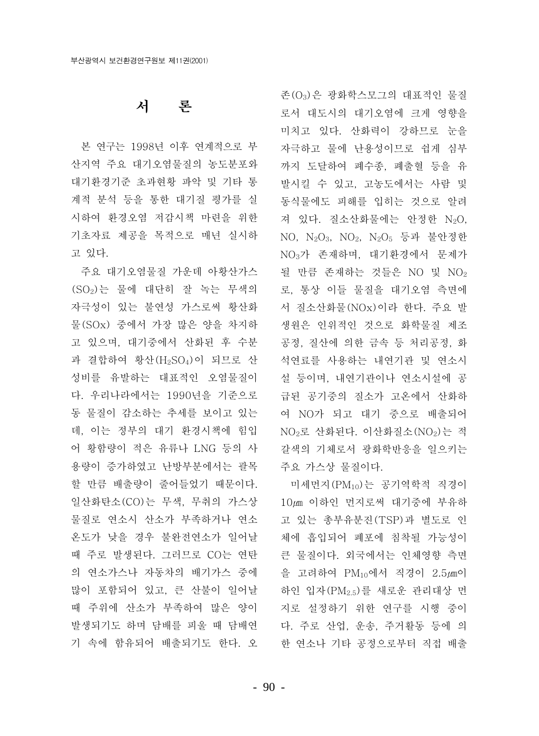# 서 론

본 연구는 1998년 이후 연계적으로 부 산지역 주요 대기오염물질의 농도분포와 대기환경기준 초과현황 파악 및 기타 통 계적 분석 등을 통한 대기질 평가를 실 시하여 환경오염 저감시책 마련을 위한 기초자료 제공을 목적으로 매년 실시하 고 있다.

주요 대기오염물질 가운데 아황산가스 (SO<sub>2</sub>)는 물에 대단히 잘 녹는 무색의 자극성이 있는 불연성 가스로써 황산화 물(SOx) 중에서 가장 많은 양을 차지하 고 있으며, 대기중에서 산화된 후 수분 과 결합하여 황산 (H2SO4)이 되므로 산 성비를 유발하는 대표적인 오염물질이 다. 우리나라에서는 1990년을 기준으로 동 물질이 감소하는 추세를 보이고 있는 데, 이는 정부의 대기 환경시책에 힘입 어 황함량이 적은 유류나 LNG 등의 사 용량이 증가하였고 난방부분에서는 괄목 할 만큼 배출량이 줄어들었기 때문이다. 일산화탄소(CO)는 무색, 무취의 가스상 물질로 연소시 산소가 부족하거나 연소 온도가 낮을 경우 불완전연소가 일어날 때 주로 발생된다. 그러므로 CO는 연탄 의 연소가스나 자동차의 배기가스 중에 많이 포함되어 있고, 큰 산불이 일어날 때 주위에 산소가 부족하여 많은 양이 발생되기도 하며 담배를 피울 때 담배연 기 속에 함유되어 배출되기도 한다. 오

존(O3)은 광화학스모그의 대표적인 물질 로서 대도시의 대기오염에 크게 영향을 미치고 있다. 산화력이 강하므로 눈을 자극하고 물에 난용성이므로 쉽게 심부 까지 도달하여 폐수종, 폐출혈 등을 유 발시킬 수 있고, 고농도에서는 사람 및 동식물에도 피해를 입히는 것으로 알려 져 있다. 질소산화물에는 안정한 N2O. NO, N<sub>2</sub>O<sub>3</sub>, NO<sub>2</sub>, N<sub>2</sub>O<sub>5</sub> 등과 불안정한 NO<sub>3</sub>가 존재하며, 대기환경에서 문제가 될 만큼 존재하는 것들은 NO 및 NO<sub>2</sub> 로, 통상 이들 물질을 대기오염 측면에 서 질소산화물(NOx)이라 한다. 주요 발 생워은 인위적인 것으로 화학물질 제조 공정, 질산에 의한 금속 등 처리공정, 화 석연료를 사용하는 내연기관 및 연소시 설 등이며, 내연기관이나 연소시설에 공 급된 공기중의 질소가 고온에서 산화하 여 NO가 되고 대기 중으로 배출되어 NO<sub>2</sub>로 산화된다. 이산화질소(NO<sub>2</sub>)는 적 갈색의 기체로서 광화학반응을 일으키는 주요 가스상 물질이다.

미세먼지 (PM10)는 공기역학적 직경이 10µm 이하인 먼지로써 대기중에 부유하 고 있는 총부유분진(TSP)과 별도로 인 체에 흡입되어 폐포에 침착될 가능성이 큰 물질이다. 외국에서는 인체영향 측면 을 고려하여 PM10에서 직경이 2.5 m이 하인 입자(PM<sub>2.5</sub>)를 새로운 관리대상 먼 지로 설정하기 위한 연구를 시행 중이 다. 주로 산업, 운송, 주거활동 등에 의 한 연소나 기타 공정으로부터 직접 배출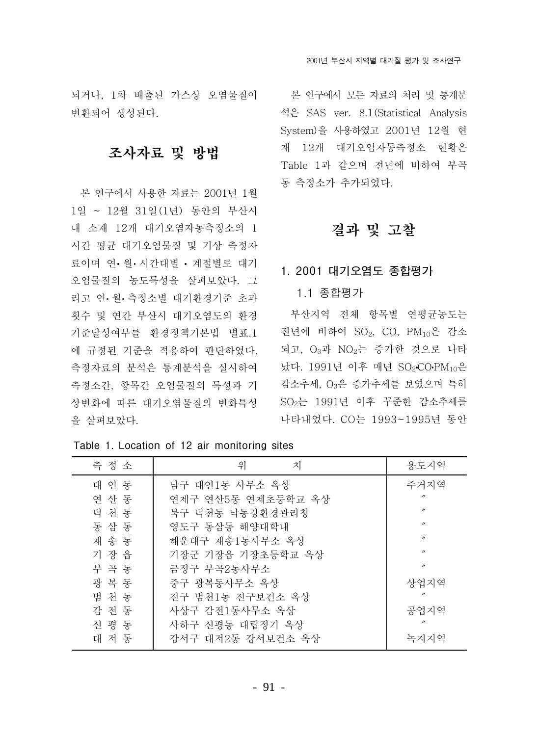되거나. 1차 배출된 가스상 오염물질이 - 본 연구에서 모든 자료의 처리 및 통계분 변화되어 생성된다.

# 조사자료 및 방법

본 연구에서 사용한 자료는 2001년 1월 1일 ~ 12월 31일(1년) 동안의 부산시 내 소재 12개 대기오염자동측정소의 1 시간 평균 대기오염물질 및 기상 측정자 료이며 연· 월· 시간대별 · 계절별로 대기 오염물질의 농도특성을 살펴보았다. 그 리고 연· 월· 측정소별 대기환경기준 초과 횟수 및 연간 부산시 대기오염도의 환경 기준달성여부를 환경정책기본법 별표.1 에 규정된 기준을 적용하여 판단하였다. 측정자료의 분석은 통계분석을 실시하여 측정소간, 항목간 오염물질의 특성과 기 상변화에 따른 대기오염물질의 변화특성 을 살펴보았다.

석은 SAS ver. 8.1 (Statistical Analysis System)을 사용하였고 2001년 12월 현 재 12개 대기오염자동측정소 현황은 Table 1과 같으며 전년에 비하여 부곡 동 측정소가 추가되었다.

# 결과 및 고찰

#### 1. 2001 대기오염도 종합평가

### 1.1 종합평가

부산지역 전체 항목별 연평균농도는 전년에 비하여 SO<sub>2</sub>, CO, PM10은 감소 되고, O<sub>3</sub>과 NO<sub>2</sub>는 증가한 것으로 나타 났다. 1991년 이후 매년 SO<sub>2</sub>CO-PM<sub>10</sub>은 감소추세, O3은 증가추세를 보였으며 특히 SO<sub>2</sub>는 1991년 이후 꾸준한 감소추세를 나타내었다. CO는 1993~1995년 동안

Table 1. Location of 12 air monitoring sites

| 측 정 소 | 치<br>위             | 용도지역              |
|-------|--------------------|-------------------|
| 대 연 동 | 남구 대연1동 사무소 옥상     | 주거지역              |
| 연산 동  | 연제구 연산5동 연제초등학교 옥상 | $^{\prime\prime}$ |
| 덕 천 동 | 북구 덕천동 낙동강환경관리청    | $^{\prime\prime}$ |
| 동 삼 동 | 영도구 동삼동 해양대학내      | $^{\prime\prime}$ |
| 재 송 동 | 해운대구 재송1동사무소 옥상    | $^{\prime\prime}$ |
| 기 장 읍 | 기장군 기장읍 기장초등학교 옥상  | $^{\prime\prime}$ |
| 부 곡 동 | 금정구 부곡2동사무소        | $^{\prime\prime}$ |
| 광 복 동 | 중구 광복동사무소 옥상       | 상업지역              |
| 범 천 동 | 진구 범천1동 진구보건소 옥상   | $^{\prime\prime}$ |
| 감 전 동 | 사상구 감전1동사무소 옥상     | 공업지역              |
| 신 평 동 | 사하구 신평동 대립정기 옥상    |                   |
| 대 저 동 | 강서구 대저2동 강서보건소 옥상  | 녹지지역              |
|       |                    |                   |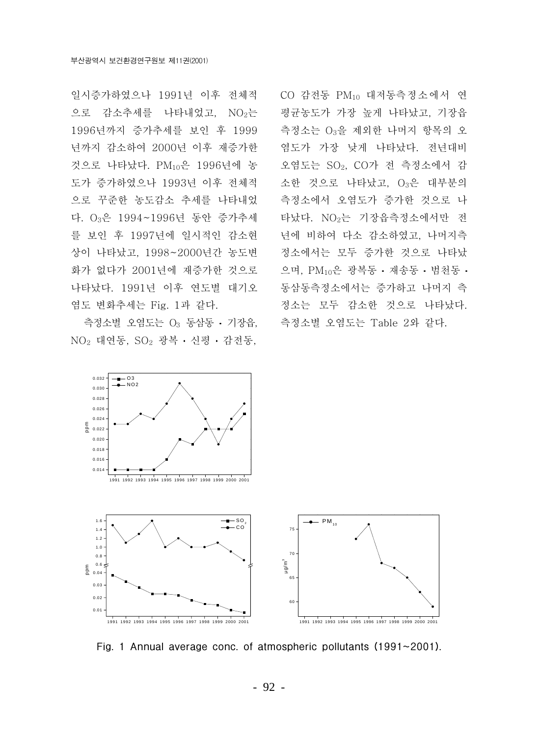일시증가하였으나 1991년 이후 전체적 으로 감소추세를 나타내었고, NO2는 1996년까지 증가추세를 보인 후 1999 년까지 감소하여 2000년 이후 재증가한 것으로 나타났다. PM10은 1996년에 농 도가 증가하였으나 1993년 이후 전체적 으로 꾸준한 농도감소 추세를 나타내었 다. 03은 1994~1996년 동안 증가추세 를 보인 후 1997년에 일시적인 감소현 상이 나타났고, 1998~2000년간 농도변 화가 없다가 2001년에 재증가한 것으로 나타났다. 1991년 이후 연도별 대기오 염도 변화추세는 Fig. 1과 같다.

측정소별 오염도는 O<sub>3</sub> 동삼동 • 기장읍.  $NO<sub>2</sub>$  대연동,  $SO<sub>2</sub>$  광복 · 신평 · 감전동,

 $0.032$ 

 $-03$ 

CO 감전동 PM10 대저동측정소에서 연 평균농도가 가장 높게 나타났고, 기장읍 측정소는 O<sub>3</sub>을 제외한 나머지 항목의 오 염도가 가장 낮게 나타났다. 전년대비 오염도는 SO2. CO가 전 측정소에서 감 소한 것으로 나타났고, O3은 대부분의 측정소에서 오염도가 증가한 것으로 나 타났다. NO<sub>2</sub>는 기장읍측정소에서만 전 년에 비하여 다소 감소하였고, 나머지측 정소에서는 모두 증가한 것으로 나타났 으며, PM10은 광복동 • 재송동 • 범천동 • 동삼동측정소에서는 증가하고 나머지 측 정소는 모두 감소한 것으로 나타났다. 측정소별 오염도는 Table 2와 같다.



Fig. 1 Annual average conc. of atmospheric pollutants  $(1991 \sim 2001)$ .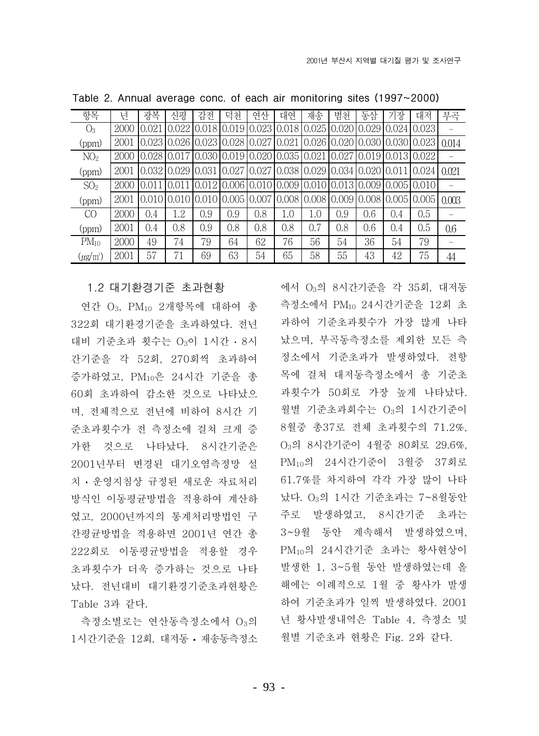| 항목                        | 넊    | 광복     | 신평    | 감전    | 덕천                      | 연산                 | 대연                                 | 재송            | 범천    | 동삼    | 기장                                 | 대저    | 부곡    |
|---------------------------|------|--------|-------|-------|-------------------------|--------------------|------------------------------------|---------------|-------|-------|------------------------------------|-------|-------|
| О3                        | 2000 | 0.021  | 0.022 | 0.018 | 0.019                   |                    | $0.023 \mid 0.018 \mid 0.025 \mid$ |               | 0.020 | 0.029 | 0.024                              | 0.023 |       |
| (ppm)                     | 2001 | 0.023  | 0.026 |       | $0.023 \mid 0.028 \mid$ | $0.027 \mid 0.021$ |                                    | 0.026         | 0.020 |       | $0.030 \, 0.030 \, 0.023$          |       | 0.014 |
| NO <sub>2</sub>           | 2000 | 0.028  | 0.017 |       | $0.030 \mid 0.019 \mid$ |                    | $0.020 \mid 0.035 \mid 0.021 \mid$ |               | 0.027 |       | $0.019$   $0.013$                  | 0.022 |       |
| (ppm)                     | 2001 | 0.0321 | 0.029 | 0.031 | 0.027                   |                    | $0.027$   0.038   0.029            |               |       |       | $0.034 \mid 0.020 \mid 0.011 \mid$ | 0.024 | 0.021 |
| SO <sub>2</sub>           | 2000 |        | 0.011 |       | $0.012$   0.006         |                    | 0.010 0.009 0.010                  |               | 0.013 |       | $0.009$   $0.005$   $0.010$        |       |       |
| (ppm)                     | 2001 | 0.010  | 0.010 |       | $0.010$   $0.005$       | 0.007              |                                    | $0.008$ 0.008 | 0.009 |       | $0.008$   $0.005$                  | 0.005 | 0.003 |
| CO                        | 2000 | (0.4)  | 1.2   | 0.9   | 0.9                     | 0.8                | 1.0                                | 1.0           | 0.9   | 0.6   | 0.4                                | 0.5   |       |
| (ppm)                     | 2001 | 0.4    | 0.8   | 0.9   | 0.8                     | 0.8                | 0.8                                | 0.7           | 0.8   | 0.6   | 0.4                                | 0.5   | 0.6   |
| $PM_{10}$                 | 2000 | 49     | 74    | 79    | 64                      | 62                 | 76                                 | 56            | 54    | 36    | 54                                 | 79    |       |
| $(\mu$ g/m <sup>3</sup> ) | 2001 | 57     | 71    | 69    | 63                      | 54                 | 65                                 | 58            | 55    | 43    | 42                                 | 75    | 44    |

Table 2. Annual average conc. of each air monitoring sites (1997~2000)

#### 1.2 대기화경기준 초과현황

연간 O3. PM10 2개항목에 대하여 총 322회 대기환경기준을 초과하였다. 전년 대비 기준초과 횟수는 O<sub>3</sub>이 1시간 • 8시 간기준을 각 52회, 270회씩 초과하여 증가하였고, PM10은 24시간 기준을 총 60회 초과하여 감소한 것으로 나타났으 며, 전체적으로 전년에 비하여 8시간 기 준초과횟수가 전 측정소에 걸쳐 크게 증 가한 것으로 나타났다. 8시간기준은 2001년부터 변경된 대기오염측정망 설 치 • 운영지침상 규정된 새로운 자료처리 방식인 이동평균방법을 적용하여 계산하 였고, 2000년까지의 통계처리방법인 구 간평균방법을 적용하면 2001년 연간 총 222회로 이동평규방법을 적용할 경우 초과횟수가 더욱 증가하는 것으로 나타 났다. 전년대비 대기환경기준초과현황은 Table 3과 같다.

측정소별로는 연산동측정소에서 O3의 1시간기준을 12회, 대저동 · 재송동측정소 에서 O3의 8시간기준을 각 35회, 대저동 측정소에서 PM10 24시간기준을 12회 초 과하여 기준초과횟수가 가장 많게 나타 났으며, 부곡동측정소를 제외한 모든 측 정소에서 기준초과가 발생하였다. 전항 목에 걸쳐 대저동측정소에서 총 기준초 과횟수가 50회로 가장 높게 나타났다. 월별 기준초과회수는 O3의 1시간기준이 8월중 총37로 전체 초과횟수의 71.2%, O<sub>3</sub>의 8시간기준이 4월중 80회로 29.6%, PM10의 24시간기준이 3월중 37회로 61.7%를 차지하여 각각 가장 많이 나타 났다. O<sub>3</sub>의 1시간 기준초과는 7~8월동안 주로 발생하였고, 8시간기준 초과는 3~9월 동안 계속해서 발생하였으며, PM10의 24시간기준 초과는 황사현상이 발생한 1, 3~5월 동안 발생하였는데 올 해에는 이례적으로 1월 중 황사가 발생 하여 기준초과가 일찍 발생하였다. 2001 년 황사발생내역은 Table 4. 측정소 및 월별 기준초과 현황은 Fig. 2와 같다.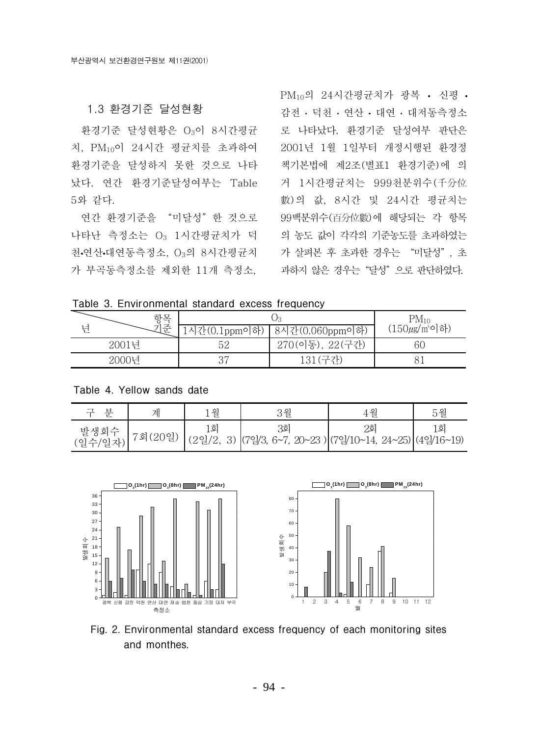### 1.3 환경기준 달성현황

환경기준 달성현황은 O<sub>3</sub>이 8시간평균 치, PM10이 24시간 평균치를 초과하여 환경기준을 달성하지 못한 것으로 나타 났다. 연간 환경기준달성여부는 Table 5와 같다.

연간 환경기준을 "미달성"한 것으로 나타난 측정소는 O3 1시간평균치가 덕 천·연산·대연동측정소, O3의 8시간평균치 가 부곡동측정소를 제외한 11개 측정소.

 $PM_{10}$ 의 24시간평균치가 광복 • 신평 • 감전 • 덕천 • 연산 • 대연 • 대저동측정소 로 나타났다. 환경기준 달성여부 판단은 2001년 1월 1일부터 개정시행된 환경정 책기본법에 제2조(별표1 환경기준)에 의 거 1시간평균치는 999천분위수(千分位 數)의 값, 8시간 및 24시간 평균치는 99백분위수(百分位數)에 해당되는 각 항목 의 농도 값이 각각의 기준농도를 초과하였는 가 살펴본 후 초과한 경우는 "미달성", 초 과하지 않은 경우는 "달성" 으로 판단하였다.

Table 3. Environmental standard excess frequency

| 하모      |               | $\mathrm{PM_{10}}$ |                            |
|---------|---------------|--------------------|----------------------------|
| 기주<br>너 | !시간(0.1ppm이하) | 8시간(0.060ppm이하)    | $(150 \mu\text{g/m}^3$ 이하) |
| 2001년   | より            | 270(이동), 22(구간)    | 60                         |
| 2000년   |               | 131 (구간)           |                            |

Table 4. Yellow sands date

|                 | 계       | 월           | 3월                                                                | 4월  | 5월 |
|-----------------|---------|-------------|-------------------------------------------------------------------|-----|----|
| 발생회수<br>(일수/일자) | 7회(20일) | '회<br>(2일/2 | २ब्रॅ<br>3) $(72/3, 6~7, 20~23)$ $(72/10~14, 24~25)$ $(42/16~19)$ | 2ई। | [회 |



Fig. 2. Environmental standard excess frequency of each monitoring sites and monthes.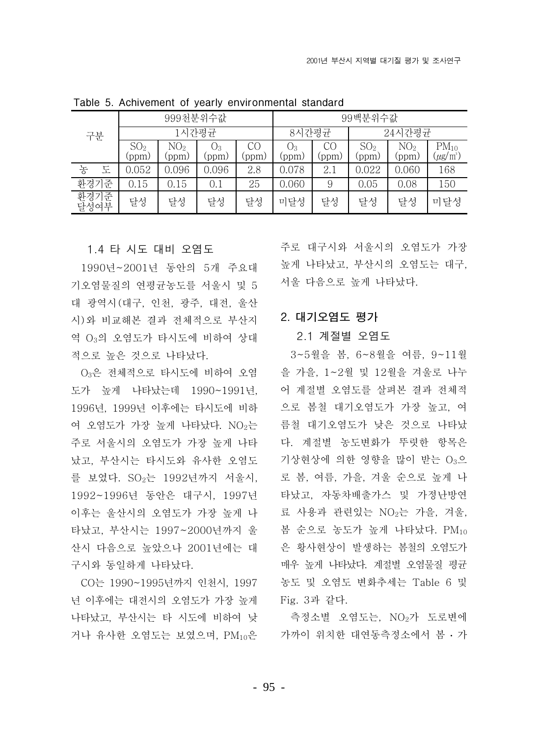|              |                          |                          | 999천분위수값                |             | 99백분위수값     |             |                          |                         |                                  |  |  |
|--------------|--------------------------|--------------------------|-------------------------|-------------|-------------|-------------|--------------------------|-------------------------|----------------------------------|--|--|
| 구분           |                          |                          | 1시간평균                   |             | 8시간평균       |             | 24시간평균                   |                         |                                  |  |  |
|              | SO <sub>2</sub><br>(ppm) | NO <sub>2</sub><br>(ppm) | $\mathrm{O}_3$<br>(ppm) | CO<br>(ppm) | О3<br>(ppm) | CO<br>(ppm) | SO <sub>2</sub><br>(ppm) | NO <sub>2</sub><br>(ppm | $PM_{10}$<br>$(\mu\text{g/m}^3)$ |  |  |
| 농<br>도       | 0.052                    | 0.096                    | 0.096                   | 2.8         | 0.078       | 2.1         | 0.022                    | 0.060                   | 168                              |  |  |
| 환경기준         | 0.15                     | 0.15                     | 0.1                     | 25          | 0.060       | 9           | 0.05                     | 0.08                    | 150                              |  |  |
| 환경기준<br>달성여부 | 달성                       | 달성                       | 달성                      | 달성          | 미달성         | 달성          | 달성                       | 달성                      | 미달성                              |  |  |

Table 5. Achivement of yearly environmental standard

#### 1.4 타 시도 대비 오염도

1990년~2001년 동안의 5개 주요대 기오염물질의 연평균농도를 서울시 및 5 대 광역시 (대구, 인천, 광주, 대전, 울산 시)와 비교해본 결과 전체적으로 부산지 역 O3의 오염도가 타시도에 비하여 상대 적으로 높은 것으로 나타났다.

O<sub>3</sub>은 전체적으로 타시도에 비하여 오염 도가 높게 나타났는데 1990~1991년, 1996년, 1999년 이후에는 타시도에 비하 여 오염도가 가장 높게 나타났다. NO<sub>2</sub>는 주로 서울시의 오염도가 가장 높게 나타 났고, 부산시는 타시도와 유사한 오염도 를 보였다. SO<sub>2</sub>는 1992년까지 서울시. 1992~1996년 동안은 대구시, 1997년 이후는 울산시의 오염도가 가장 높게 나 타났고, 부산시는 1997~2000년까지 울 산시 다음으로 높았으나 2001년에는 대 구시와 동일하게 나타났다.

CO는 1990~1995년까지 인천시, 1997 년 이후에는 대전시의 오염도가 가장 높게 나타났고, 부산시는 타 시도에 비하여 낮 거나 유사한 오염도는 보였으며, PM10은 주로 대구시와 서울시의 오염도가 가장 높게 나타났고. 부산시의 오염도는 대구. 서울 다음으로 높게 나타났다.

#### 2. 대기오염도 평가

#### 2.1 계절별 오염도

3~5월을 봄, 6~8월을 여름, 9~11월 을 가을, 1~2월 및 12월을 겨울로 나누 어 계절별 오염도를 살펴본 결과 전체적 으로 봄철 대기오염도가 가장 높고, 여 름철 대기오염도가 낮은 것으로 나타났 다. 계절별 농도변화가 뚜렷한 항목은 기상현상에 의한 영향을 많이 받는  $O_3$ 으 로 봄, 여름, 가을, 겨울 순으로 높게 나 타났고, 자동차배출가스 및 가정난방연 료 사용과 관련있는 NO<sub>2</sub>는 가을, 겨울, 봄 순으로 농도가 높게 나타났다. PM10 은 황사현상이 발생하는 봄철의 오염도가 매우 높게 나타났다. 계절별 오염물질 평균 농도 및 오염도 변화추세는 Table 6 및 Fig. 3과 같다.

측정소별 오염도는, NO<sub>2</sub>가 도로변에 가까이 위치한 대연동측정소에서 봄 • 가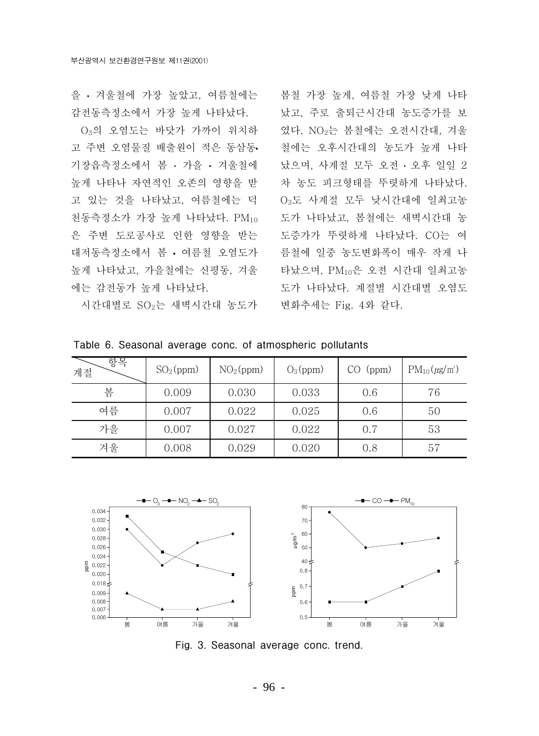을 • 겨울철에 가장 높았고, 여름철에는

O<sub>3</sub>의 오염도는 바닷가 가까이 위치하 고 주변 오염물질 배출원이 적은 동삼동• 기장음측정소에서 봄 · 가을 · 겨울철에 높게 나타나 자연적인 오존의 영향을 받 고 있는 것을 나타났고, 여름철에는 덕 천동측정소가 가장 높게 나타났다. PM10 은 주변 도로공사로 인한 영향을 받는 대저동측정소에서 봄 • 여름철 오염도가 높게 나타났고. 가을철에는 신평동. 겨울 에는 감전동가 높게 나타났다.

시간대별로 SO<sub>2</sub>는 새벽시간대 농도가

봄철 가장 높게. 여름철 가장 낮게 나타 감전동측정소에서 가장 높게 나타났다. · 났고, 주로 출퇴근시간대 농도증가를 보 였다. NO<sub>2</sub>는 봄철에는 오전시간대, 겨울 철에는 오후시간대의 농도가 높게 나타 났으며, 사계절 모두 오전 · 오후 일일 2 차 농도 피크형태를 뚜렷하게 나타났다. O<sub>3</sub>도 사계절 모두 낮시간대에 일최고농 도가 나타났고, 봄철에는 새벽시간대 농 도증가가 뚜렷하게 나타났다. CO는 여 름철에 일중 농도변화폭이 매우 작게 나 타났으며, PM10은 오전 시간대 일최고농 도가 나타났다. 계절별 시간대별 오염도 변화추세는 Fig. 4와 같다.

| 항목<br>계절 | SO <sub>2</sub> (ppm) | NO <sub>2</sub> (ppm) | $O_3$ (ppm) | CO (ppm) | $PM_{10}(\mu g/m^3)$ |
|----------|-----------------------|-----------------------|-------------|----------|----------------------|
| 봄        | 0.009                 | 0.030                 | 0.033       | 0.6      | 76                   |
| 여름       | 0.007                 | 0.022                 | 0.025       | 0.6      | 50                   |
| 가을       | 0.007                 | 0.027                 | 0.022       | 0.7      | 53                   |
| 겨울       | 0.008                 | 0.029                 | 0.020       | 0.8      | 57                   |

Table 6. Seasonal average conc. of atmospheric pollutants



Fig. 3. Seasonal average conc. trend.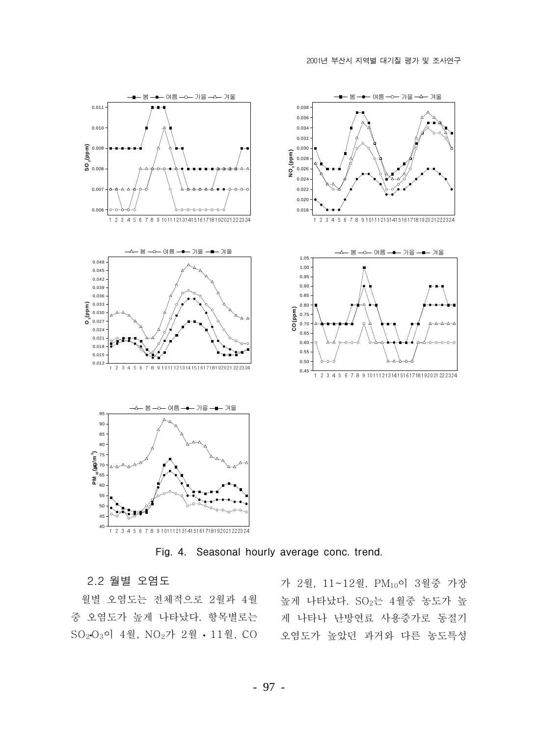

Fig. 4. Seasonal hourly average conc. trend.

### 2.2 월별 오염도

월별 오염도는 전체적으로 2월과 4월 중 오염도가 높게 나타났다. 항목별로는 SO<sub>2</sub>O<sub>3</sub>이 4월, NO<sub>2</sub>가 2월 · 11월, CO 2염도가 높았던 과거와 다른 농도특성

가 2월, 11~12월, PM10이 3월중 가장 높게 나타났다. SO<sub>2</sub>는 4월중 농도가 높 게 나타나 난방연료 사용증가로 동절기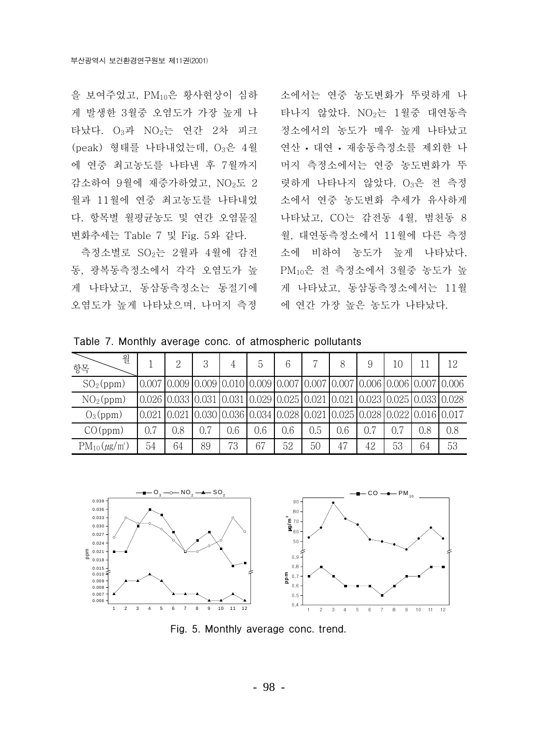을 보여주었고, PM10은 황사현상이 심하 게 발생한 3월중 오염도가 가장 높게 나<br>
H 타나지 않았다. NO<sub>2</sub>는 1월중 대연동측 타났다. O<sub>3</sub>과 NO<sub>2</sub>는 연간 2차 피크 (peak) 형태를 나타내었는데, O3은 4월 에 연중 최고농도를 나타낸 후 7월까지 감소하여 9월에 재증가하였고, NO<sub>2</sub>도 2 월과 11월에 연중 최고농도를 나타내었 다. 항목별 월평균농도 및 연간 오염물질 변화추세는 Table 7 및 Fig. 5와 같다.

측정소별로 SO<sub>2</sub>는 2월과 4월에 감전 동. 광복동측정소에서 각각 오염도가 높 게 나타났고. 동삼동측정소는 동절기에 오염도가 높게 나타났으며, 나머지 측정

소에서는 연중 농도변화가 뚜렷하게 나 정소에서의 농도가 매우 높게 나타났고 연산 · 대연 · 재송동측정소를 제외한 나 머지 측정소에서는 연중 농도변화가 뚜 렷하게 나타나지 않았다. O<sub>3</sub>은 전 측정 소에서 연중 농도변화 추세가 유사하게 나타났고, CO는 감전동 4월, 범천동 8 월, 대연동측정소에서 11월에 다른 측정 소에 비하여 농도가 높게 나타났다. PM10은 전 측정소에서 3월중 농도가 높 게 나타났고. 동삼동측정소에서는 11월 에 연간 가장 높은 농도가 나타났다.

Table 7. Monthly average conc. of atmospheric pollutants

| 월<br>항목               |     | 2   | 3   | 4   | 5   | 6   | 7                                                                                               |     | 9   | 10  |     | 12  |
|-----------------------|-----|-----|-----|-----|-----|-----|-------------------------------------------------------------------------------------------------|-----|-----|-----|-----|-----|
| SO <sub>2</sub> (ppm) |     |     |     |     |     |     | 0.007 0.009 0.009 0.010 0.009 0.007 0.007 0.007 0.006 0.006 0.007 0.006                         |     |     |     |     |     |
| NO <sub>2</sub> (ppm) |     |     |     |     |     |     | $0.026$ $0.033$ $0.031$ $0.031$ $0.029$ $0.025$ $0.021$ $0.021$ $0.023$ $0.025$ $0.033$ $0.028$ |     |     |     |     |     |
| $O_3$ (ppm)           |     |     |     |     |     |     | $0.021$ $0.021$ $0.030$ $0.036$ $0.034$ $0.028$ $0.021$ $0.025$ $0.028$ $0.022$ $0.016$ $0.017$ |     |     |     |     |     |
| CO(ppm)               | 0.7 | 0.8 | 0.7 | 0.6 | 0.6 | 0.6 | 0.5                                                                                             | 0.6 | 0.7 | 0.7 | 0.8 | 0.8 |
| $PM_{10}(\mu g/m^3)$  | 54  | 64  | 89  | 73  | 67  | 52  | 50                                                                                              | 47  | 42  | 53  | 64  | 53  |



Fig. 5. Monthly average conc. trend.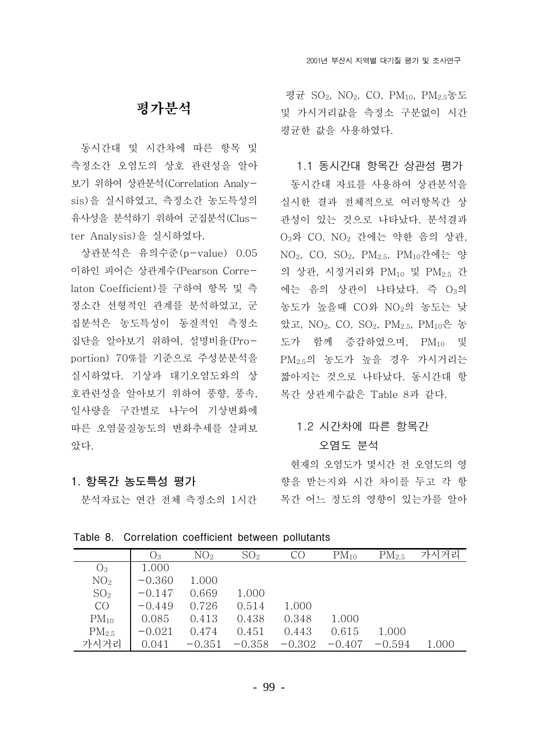# 평가분석

동시간대 및 시간차에 따른 항목 및 측정소간 오염도의 상호 관련성을 알아 보기 위하여 상관부석(Correlation Analysis)을 실시하였고, 측정소간 농도특성의 유사성을 분석하기 위하여 군집분석(Cluster Analysis)을 실시하였다.

상관분석은 유의수준(p-value) 0.05 이하인 피어슨 상관계수(Pearson Correlaton Coefficient)를 구하여 항목 및 측 정소간 선형적인 관계를 분석하였고, 군 집분석은 농도특성이 동질적인 측정소 집단을 알아보기 위하여, 설명비율 (Proportion) 70%를 기준으로 주성분분석을 실시하였다. 기상과 대기오염도와의 상 호관련성을 알아보기 위하여 풍향, 풍속, 일사량을 구간별로 나누어 기상변화에 따른 오염물질농도의 변화추세를 살펴보 았다.

# 평균 SO<sub>2</sub>, NO<sub>2</sub>, CO, PM<sub>10</sub>, PM<sub>2.5</sub>농도 및 가시거리값을 측정소 구분없이 시간 평균한 값을 사용하였다.

1.1 동시간대 항목간 상관성 평가 동시간대 자료를 사용하여 상관분석을 실시한 결과 전체적으로 여러항목간 상 관성이 있는 것으로 나타났다. 분석결과 O<sub>3</sub>와 CO, NO<sub>2</sub> 간에는 약한 음의 상관, NO<sub>2</sub>, CO, SO<sub>2</sub>, PM<sub>2.5</sub>, PM<sub>10</sub>간에는 양 의 상관, 시정거리와 PM10 및 PM25 간 에는 음의 상관이 나타났다. 즉 O3의 농도가 높을때 CO와 NO<sub>2</sub>의 농도는 낮 았고, NO<sub>2</sub>, CO, SO<sub>2</sub>, PM<sub>2.5</sub>, PM<sub>10</sub>은 농 도가 함께 증감하였으며, PM10 및 PM<sub>2.5</sub>의 농도가 높을 경우 가시거리는 짧아지는 것으로 나타났다. 동시간대 항 목간 상관계수값은 Table 8과 같다.

## 1.2 시간차에 따른 항목간

### 오염도 부석

현재의 오염도가 몇시간 전 오염도의 영 향을 받는지와 시간 차이를 두고 각 항 목간 어느 정도의 영향이 있는가를 알아

### 1. 항목간 농도특성 평가

분석자료는 연간 전체 측정소의 1시간

| Table 8. | Correlation coefficient between pollutants |  |  |  |
|----------|--------------------------------------------|--|--|--|
|----------|--------------------------------------------|--|--|--|

|                   | Oз       | NO <sub>2</sub> | SO <sub>2</sub> | CO       | $PM_{10}$ | PM <sub>2.5</sub> | 가시거리  |
|-------------------|----------|-----------------|-----------------|----------|-----------|-------------------|-------|
| O <sub>3</sub>    | 1.000    |                 |                 |          |           |                   |       |
| NO <sub>2</sub>   | $-0.360$ | 1.000           |                 |          |           |                   |       |
| SO <sub>2</sub>   | $-0.147$ | 0.669           | 1.000           |          |           |                   |       |
| CO                | $-0.449$ | 0.726           | 0.514           | 1.000    |           |                   |       |
| $PM_{10}$         | 0.085    | 0.413           | 0.438           | 0.348    | 1.000     |                   |       |
| PM <sub>2.5</sub> | $-0.021$ | 0.474           | 0.451           | 0.443    | 0.615     | 1.000             |       |
| 가시거리              | 0.041    | $-0.351$        | $-0.358$        | $-0.302$ | $-0.407$  | $-0.594$          | 1.000 |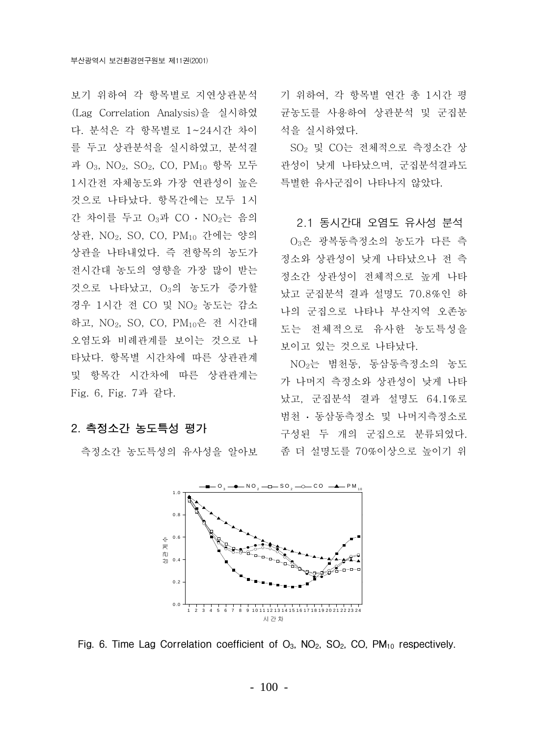보기 위하여 각 항목별로 지여상과부석 (Lag Correlation Analysis)을 실시하였 다. 분석은 각 항목별로 1~24시간 차이 를 두고 상관분석을 실시하였고, 분석결 과 O<sub>3</sub>, NO<sub>2</sub>, SO<sub>2</sub>, CO, PM<sub>10</sub> 항목 모두 1시간전 자체농도와 가장 연관성이 높은 것으로 나타났다. 항목간에는 모두 1시 간 차이를 두고 O<sub>3</sub>과 CO · NO<sub>2</sub>는 음의 상관, NO<sub>2</sub>, SO, CO, PM<sub>10</sub> 간에는 양의 상관을 나타내었다. 즉 전항목의 농도가 전시간대 농도의 영향을 가장 많이 받는 것으로 나타났고. 03의 농도가 증가할 경우 1시간 전 CO 및 NO<sub>2</sub> 농도는 감소 하고, NO<sub>2</sub>, SO, CO, PM<sub>10</sub>은 전 시간대 오염도와 비례관계를 보이는 것으로 나 타났다. 항목별 시간차에 따른 상관관계 및 항목간 시간차에 따른 상관관계는 Fig. 6, Fig. 7과 같다.

### 2. 측정소간 농도특성 평가

측정소간 농도특성의 유사성을 알아보

기 위하여, 각 항목별 연간 총 1시간 평 균농도를 사용하여 상관분석 및 군집분 석을 실시하였다.

SO<sub>2</sub> 및 CO는 전체적으로 측정소간 상 관성이 낮게 나타났으며, 군집분석결과도 특별한 유사군집이 나타나지 않았다.

2.1 동시간대 오염도 유사성 분석

O<sub>3</sub>은 광복동측정소의 농도가 다른 측 정소와 상관성이 낮게 나타났으나 전 측 정소간 상관성이 전체적으로 높게 나타 났고 군집분석 결과 설명도 70.8%인 하 나의 군집으로 나타나 부산지역 오존농 도는 전체적으로 유사한 농도특성을 보이고 있는 것으로 나타났다.

NO<sub>2</sub>는 범천동, 동삼동측정소의 농도 가 나머지 측정소와 상관성이 낮게 나타 났고, 군집분석 결과 설명도 64.1%로 범천 · 동삼동측정소 및 나머지측정소로 구성된 두 개의 군집으로 분류되었다. 좀 더 설명도를 70%이상으로 높이기 위



Fig. 6. Time Lag Correlation coefficient of O<sub>3</sub>, NO<sub>2</sub>, SO<sub>2</sub>, CO, PM<sub>10</sub> respectively.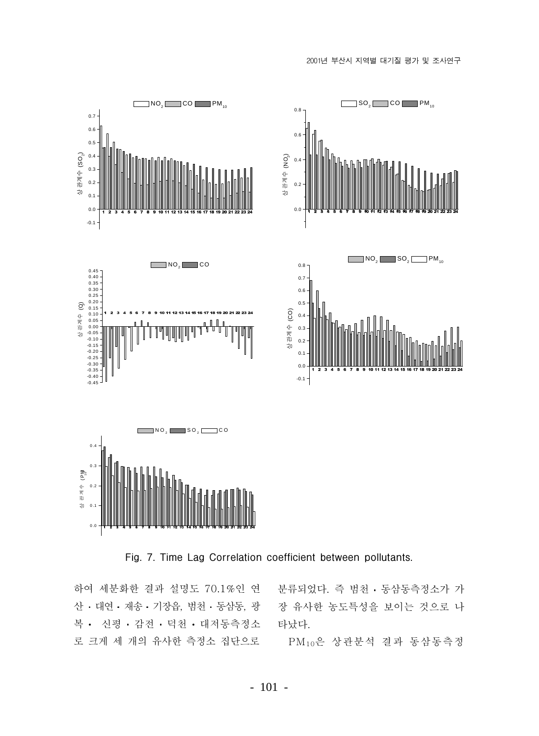

Fig. 7. Time Lag Correlation coefficient between pollutants.

하여 세분화한 결과 설명도 70.1%인 연 · 분류되었다. 즉 범천 · 동삼동측정소가 가 산 · 대연 · 재송 · 기장읍, 범천 · 동삼동, 광 복 · 신평 · 감전 · 덕천 · 대저동측정소 로 크게 세 개의 유사한 측정소 집단으로

장 유사한 농도특성을 보이는 것으로 나 타났다.

PM10은 상관분석 결과 동삼동측정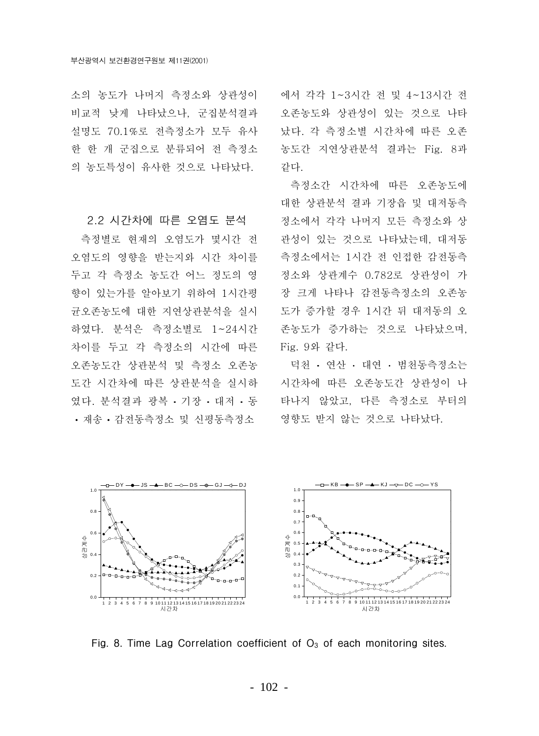소의 농도가 나머지 측정소와 상관성이 비교적 낮게 나타났으나, 군집분석결과 설명도 70.1%로 전측정소가 모두 유사 한 한 개 구집으로 부류되어 전 측정소 의 농도특성이 유사한 것으로 나타났다.

#### 2.2 시간차에 따른 오염도 분석

측정별로 현재의 오염도가 몇시간 전 오염도의 영향을 받는지와 시간 차이를 두고 각 측정소 농도간 어느 정도의 영 향이 있는가를 알아보기 위하여 1시간평 규오존농도에 대한 지여상과부석을 실시 하였다. 분석은 측정소별로 1~24시간 차이를 두고 각 측정소의 시간에 따른 오존농도간 상관분석 및 측정소 오존농 도간 시간차에 따른 상관분석을 실시하 였다. 분석결과 광복 · 기장 · 대저 · 동 · 재송 · 감전동측정소 및 신평동측정소 에서 각각 1~3시간 전 및 4~13시간 전 오존농도와 상관성이 있는 것으로 나타 났다. 각 측정소별 시간차에 따른 오존 농도간 지연상관분석 결과는 Fig. 8과 같다.

측정소간 시간차에 따른 오존농도에 대한 상관부석 결과 기장음 및 대저동측 정소에서 각각 나머지 모든 측정소와 상 관성이 있는 것으로 나타났는데, 대저동 측정소에서는 1시간 전 인접한 감전동측 정소와 상관계수 0.782로 상관성이 가 장 크게 나타나 감전동측정소의 오존농 도가 증가할 경우 1시간 뒤 대저동의 오 존농도가 증가하는 것으로 나타났으며. Fig. 9와 같다.

덕천 · 연산 · 대연 · 범천동측정소는 시간차에 따른 오존농도간 상관성이 나 타나지 않았고, 다른 측정소로 부터의 영향도 받지 않는 것으로 나타났다.



Fig. 8. Time Lag Correlation coefficient of  $O<sub>3</sub>$  of each monitoring sites.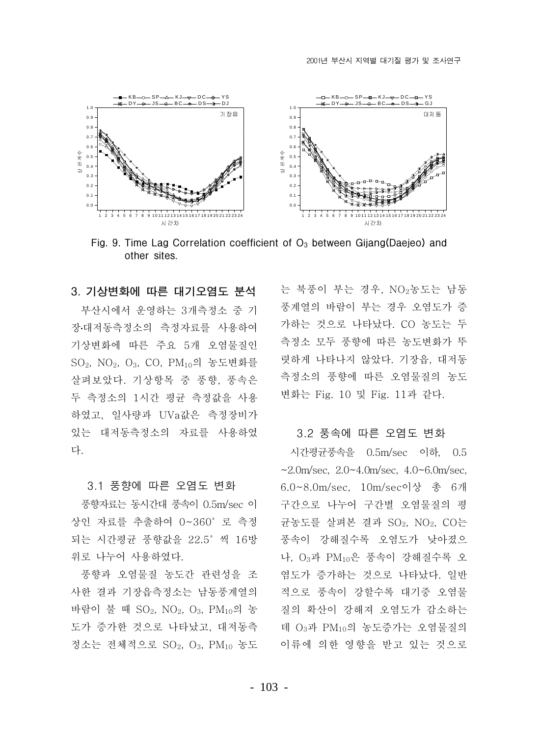

Fig. 9. Time Lag Correlation coefficient of  $O_3$  between Gijang (Daejeo) and other sites.

### 3. 기상변화에 따른 대기오염도 분석

부산시에서 운영하는 3개측정소 중 기 장대저동측정소의 측정자료를 사용하여 기상변화에 따른 주요 5개 오염물질인 SO<sub>2</sub>, NO<sub>2</sub>, O<sub>3</sub>, CO, PM<sub>10</sub>의 농도변화를 살펴보았다. 기상항목 중 풍향, 풍속은 두 측정소의 1시간 평균 측정값을 사용 하였고, 일사량과 UVa값은 측정장비가 있는 대저동측정소의 자료를 사용하였 다.

### 3.1 풍향에 따른 오염도 변화

풍향자료는 동시간대 풍속이 0.5m/sec 이 상인 자료를 추출하여 0~360° 로 측정 되는 시간평균 풍향값을 22.5° 씩 16방 위로 나누어 사용하였다.

풍향과 오염물질 농도간 관련성을 조 사한 결과 기장읍측정소는 남동풍계열의 바람이 불 때 SO<sub>2</sub>, NO<sub>2</sub>, O<sub>3</sub>, PM10의 농 도가 증가한 것으로 나타났고, 대저동측 정소는 전체적으로 SO<sub>2</sub>, O<sub>3</sub>, PM<sub>10</sub> 농도 는 북풍이 부는 경우. NO<sub>2</sub>농도는 남동 풍계열의 바람이 부는 경우 오염도가 증 가하는 것으로 나타났다. CO 농도는 두 측정소 모두 풍향에 따른 농도변화가 뚜 렷하게 나타나지 않았다. 기장읍, 대저동 측정소의 풍향에 따른 오염물질의 농도 변화는 Fig. 10 및 Fig. 11과 같다.

#### 3.2 풍속에 따른 오염도 변화

시간평균풍속을 0.5m/sec 이하, 0.5  $\sim$  2.0m/sec, 2.0 $\sim$  4.0m/sec, 4.0 $\sim$  6.0m/sec, 6.0~8.0m/sec. 10m/sec이상 총 6개 구간으로 나누어 구간별 오염물질의 평 균농도를 살펴본 결과 SO<sub>2</sub>, NO<sub>2</sub>, CO는 풍속이 강해질수록 오염도가 낮아졌으 나, O3과 PM10은 풍속이 강해질수록 오 염도가 증가하는 것으로 나타났다. 일반 적으로 풍속이 강할수록 대기중 오염물 질의 확산이 강해져 오염도가 감소하는 데 O<sub>3</sub>과 PM10의 농도증가는 오염물질의 이류에 의한 영향을 받고 있는 것으로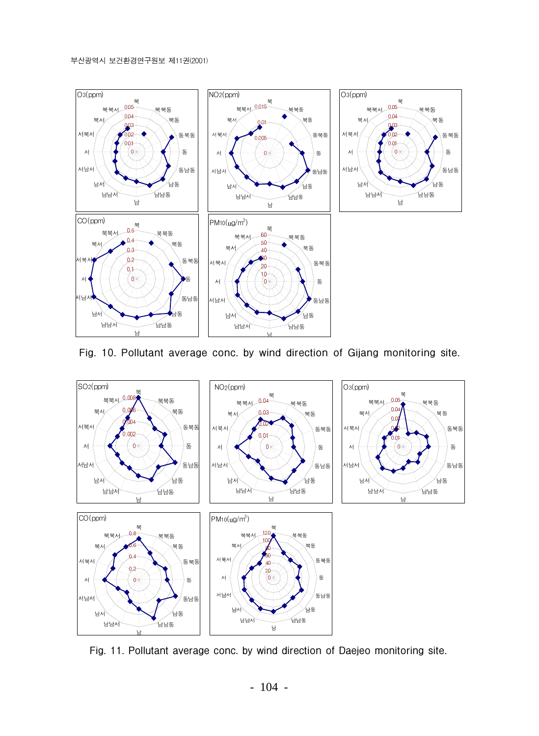

Fig. 10. Pollutant average conc. by wind direction of Gijang monitoring site.



Fig. 11. Pollutant average conc. by wind direction of Daejeo monitoring site.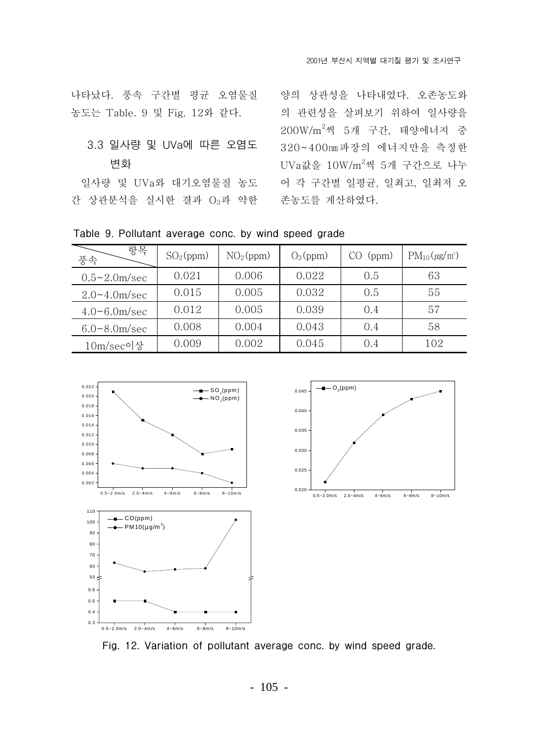나타났다. 풍속 구간별 평규 오염물질 농도는 Table. 9 및 Fig. 12와 같다.

# 3.3 일사량 및 UVa에 따른 오염도 변화

일사량 및 UVa와 대기오염물질 농도 간 상관분석을 실시한 결과 O3과 약한 존농도를 계산하였다.

양의 상관성을 나타내었다. 오존농도와 의 관련성을 살펴보기 위하여 일사량을 200W/m<sup>2</sup>씩 5개 구간, 태양에너지 중 320~400nm 파장의 에너지만을 측정한 UVa값을 10W/m<sup>2</sup>씩 5개 구간으로 나누 어 각 구간별 일평균, 일최고, 일최저 오

|  | Table 9. Pollutant average conc. by wind speed grade |  |  |  |  |  |  |
|--|------------------------------------------------------|--|--|--|--|--|--|
|--|------------------------------------------------------|--|--|--|--|--|--|

| 항목<br>풍속          | $SO_2(ppm)$ | NO <sub>2</sub> (ppm) | $O_3$ (ppm) | (ppm) | $PM_{10}(\mu g/m^3)$ |
|-------------------|-------------|-----------------------|-------------|-------|----------------------|
| $0.5 - 2.0$ m/sec | 0.021       | 0.006                 | 0.022       | 0.5   | 63                   |
| $2.0 - 4.0$ m/sec | 0.015       | 0.005                 | 0.032       | 0.5   | 55                   |
| $4.0 - 6.0$ m/sec | 0.012       | 0.005                 | 0.039       | 0.4   | 57                   |
| $6.0 - 8.0$ m/sec | 0.008       | 0.004                 | 0.043       | 0.4   | 58                   |
| 10m/sec이상         | 0.009       | 0.002                 | 0.045       | 0.4   | 102                  |





Fig. 12. Variation of pollutant average conc. by wind speed grade.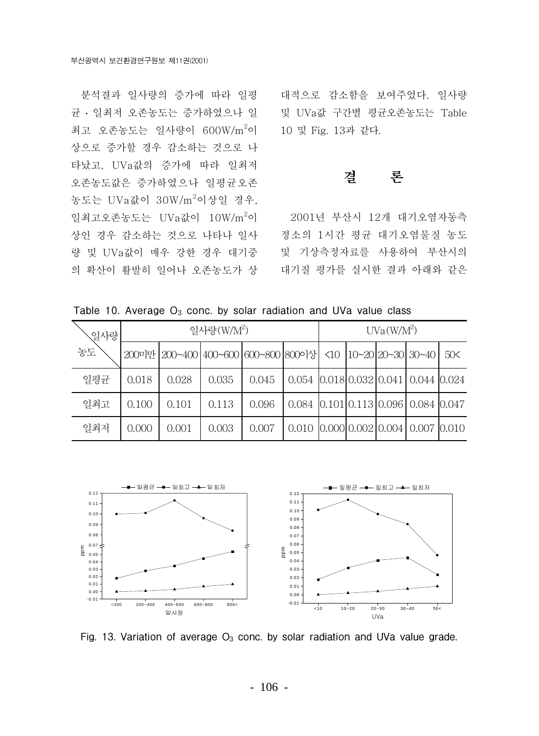분석결과 일사량의 증가에 따라 일평 균 • 일최저 오존농도는 증가하였으나 일 최고 오존농도는 일사량이 600W/m<sup>2</sup>이 상으로 증가할 경우 감소하는 것으로 나 타났고. UVa값의 증가에 따라 일최저 오존농도값은 증가하였으나 일평균오존 농도는 UVa값이 30W/m<sup>2</sup>이상일 경우, 일최고오존농도는 UVa값이 10W/m<sup>2</sup>이 상인 경우 감소하는 것으로 나타나 일사 량 및 UVa값이 매우 강한 경우 대기중 의 확산이 활발히 일어나 오존농도가 상

대적으로 감소함을 보여주었다. 일사량 및 UVa값 구간별 평균오존농도는 Table 10 및 Fig. 13과 같다.

#### 결 론

2001년 부산시 12개 대기오염자동측 정소의 1시간 평균 대기오염물질 농도 및 기상측정자료를 사용하여 부산시의 대기질 평가를 실시한 결과 아래와 같은

Table 10. Average  $O_3$  conc. by solar radiation and UVa value class

| \일사량 |       |                                                                          | 일사량 $(W/M^2)$ | $UVa(W/M^2)$ |                                                 |  |  |  |                                           |     |
|------|-------|--------------------------------------------------------------------------|---------------|--------------|-------------------------------------------------|--|--|--|-------------------------------------------|-----|
| 농도   |       | 200미만  200~400   400~600   600~800   800이상   <10   10~20   20~30   30~40 |               |              |                                                 |  |  |  |                                           | 50< |
| 일평균  | 0.018 | 0.028                                                                    | 0.035         | 0.045        | $0.054$ $ 0.018 0.032 0.041 0.044 0.024$        |  |  |  |                                           |     |
| 일최고  | 0.100 | 0.101                                                                    | 0.113         | 0.096        | $0.084$ $0.101$ $0.113$ $0.096$ $0.084$ $0.047$ |  |  |  |                                           |     |
| 일최저  | 0.000 | 0.001                                                                    | 0.003         | 0.007        | 0.010                                           |  |  |  | $[0.000]$ 0.002 $[0.004]$ 0.007 $[0.010]$ |     |



Fig. 13. Variation of average  $O_3$  conc. by solar radiation and UVa value grade.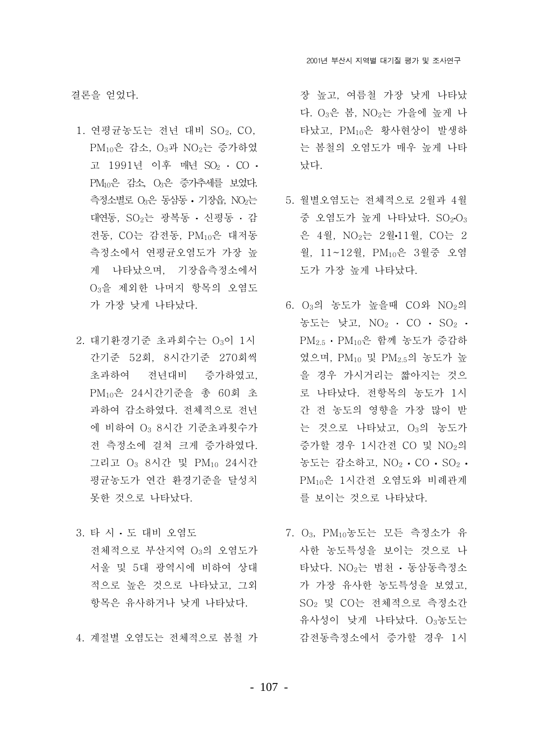결론을 얻었다.

- 1. 연평균농도는 전년 대비 SO2, CO,  $PM_{10}$ 은 감소,  $O_3$ 과  $NO_2$ 는 증가하였 고 1991년 이후 매년 SO<sub>2</sub> · CO ·  $PM_{10}$ 은 감소,  $O_3$ 은 증가추세를 보였다. 측정소별로 O3은 동삼동 · 기장읍, NO2는 5. 월별오염도는 전체적으로 2월과 4월 대연동,  $SO_2$ 는 광복동 • 신평동 • 감 전동, CO는 감전동, PM10은 대저동 측정소에서 연평균오염도가 가장 높 게 나타났으며, 기장읍측정소에서 O<sub>3</sub>을 제외한 나머지 항목의 오염도 가 가장 낮게 나타났다.
- 2. 대기환경기준 초과회수는 O<sub>3</sub>이 1시 간기준 52회, 8시간기준 270회씩 초과하여 전년대비 증가하였고,  $PM_{10}$ 은 24시간기준을 총 60회 초 과하여 감소하였다. 전체적으로 전년 에 비하여 O3 8시간 기준초과횟수가 전 측정소에 걸쳐 크게 증가하였다. 그리고 O3 8시간 및 PM10 24시간 평균농도가 연간 환경기준을 달성치 못한 것으로 나타났다.
- 3. 타 시 · 도 대비 오염도 전체적으로 부산지역 O<sub>3</sub>의 오염도가 서울 및 5대 광역시에 비하여 상대 적으로 높은 것으로 나타났고, 그외 항목은 유사하거나 낮게 나타났다.
- 4. 계절별 오염도는 전체적으로 봄철 가

장 높고, 여름철 가장 낮게 나타났 다. O<sub>3</sub>은 봄, NO<sub>2</sub>는 가을에 높게 나 타났고, PM10은 황사현상이 발생하 는 봄철의 오염도가 매우 높게 나타 났다.

- 중 오염도가 높게 나타났다. SO<sub>2</sub>·O<sub>3</sub> 은 4월, NO<sub>2</sub>는 2월·11월, CO는 2 월, 11~12월, PM<sub>10</sub>은 3월중 오염 도가 가장 높게 나타났다.
- 6.  $O_3$ 의 농도가 높을때 CO와 NO<sub>2</sub>의 농도는 낮고,  $NO<sub>2</sub>$  ·  $CO$  ·  $SO<sub>2</sub>$  ·  $PM_{2.5}$  · PM<sub>10</sub>은 함께 농도가 증감하 였으며, PM10 및 PM2.5의 농도가 높 을 경우 가시거리는 짧아지는 것으 로 나타났다. 전항목의 농도가 1시 간 전 농도의 영향을 가장 많이 받 는 것으로 나타났고, O3의 농도가 증가할 경우 1시간전 CO 및 NO2의 농도는 감소하고,  $NO<sub>2</sub> \cdot CO \cdot SO<sub>2</sub>$ . PM10은 1시간전 오염도와 비례관계 를 보이는 것으로 나타났다.
- 7. O<sub>3</sub>, PM<sub>10</sub>농도는 모든 측정소가 유 사한 농도특성을 보이는 것으로 나 타났다. NO<sub>2</sub>는 범천 · 동삼동측정소 가 가장 유사한 농도특성을 보였고, SO<sub>2</sub> 및 CO는 전체적으로 측정소간 유사성이 낮게 나타났다. O3농도는 감전동측정소에서 증가할 경우 1시